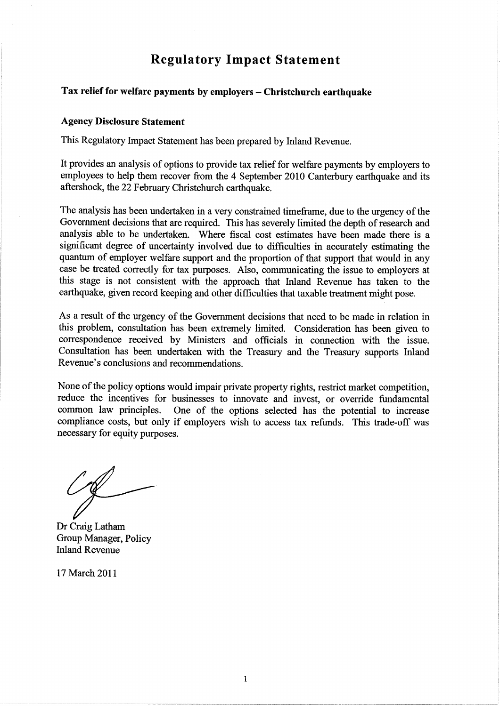# Regulatory Impact Statement

# Tax relief for welfare payments by employers - Christchurch earthquake

#### Agency Disclosure Statement

This Regulatory Impact Statement has been prepared by Inland Revenue.

It provides an analysis of options to provide tax relief for welfare payments by employers to employees to help them recover from the 4 September 2010 Canterbury earthquake and its aftershock, the 22 February Christchurch earthquake.

The analysis has been undertaken in a very constrained timeframe, due to the urgency of the Government decisions that are required. This has severely limited the depth of research and analysis able to be undertaken. Where fiscal cost estimates have been made there is a significant degree of uncertainty involved due to difficulties in accurately estimating the quantum of employer welfare support and the proportion of that support that would in any case be treated correctly for tax purposes. Also, communicating the issue to employers at this stage is not consistent with the approach that Inland Revenue has taken to the earthquake, given record keeping and other difficulties that taxable treatment might pose.

As a result of the urgency of the Govemment decisions that need to be made in relation in this problern, consultation has been extremely limited. Consideration has been given to correspondence received by Ministers and officials in connection with the issue. Consultation has been undertaken with the Treasury and the Treasury supports Inland Revenue's conclusions and recommendations.

None of the policy options would impair private property rights, restrict market competition, reduce the incentives for businesses to innovate and invest, or override fundamental common law principles. One of the options selected has the potential to increase One of the options selected has the potential to increase compliance costs, but only if employers wish to access tax refunds. This trade-off was necessary for equity purposes.

Dr Craig Latham Group Manager, Policy Inland Revenue

17 March 2011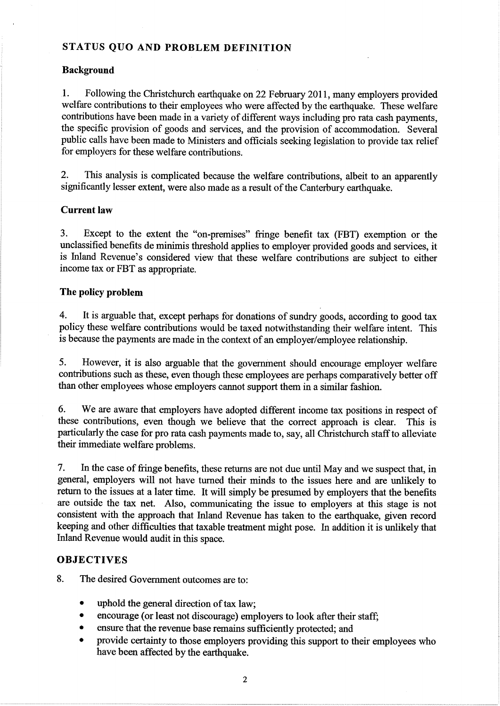## STATUS QUO AND PROBLEM DEFINITION

## Background

1. Following the Christchurch earthquake on 22 February 2011, many employers provided welfare contributions to their employees who were affected by the earthquake. These welfare contributions have been made in a variety of different ways including pro rata cash payments, the specific provision of goods and services, and the provision of accommodation. Several public calls have been made to Ministers and officials seeking legislation to provide tax relief for employers for these welfare contributions.

2. This analysis is complicated because the welfare contributions, albeit to an apparently significantly lesser extent, were also made as a result of the Canterbury earthquake.

#### Current law

3. Except to the extent the "on-premises" fringe benefit tax (FBT) exemption or the unclassified benefits de minimis threshold applies to employer provided goods and services, it is Inland Revenue's considered view that these welfare contributions are subject to either income tax or FBT as appropriate.

## The policy problem

4. It is arguable that, except perhaps for donations of sundry goods, according to good tax policy these welfare contributions would be taxed notwithstanding their welfare intent. This is because the payments are made in the context of an employer/employee relationship.

5. However, it is also arguable that the govemment should encourage employer welfare contributions such as these, even though these employees are perhaps comparatively better off than other employees whose employers cannot support them in a similar fashion.

6. We are aware that employers have adopted different income tax positions in respect of these contributions, even though we believe that the correct approach is clear. This is particularly the case for pro rata cash payments made to, say, all Christchurch staff to alleviate their immediate welfare problems.

7. In the case of fringe benefits, these returns are not due until May and we suspect that, in general, employers will not have turned their minds to the issues here and are unlikely to return to the issues at alater time. It will simply be presumed by employers that the benefits are outside the tax net. Also, communicating the issue to employers at this stage is not consistent with the approach that Inland Revenue has taken to the earthquake, given record keeping and other difficulties that taxable treatment might pose. In addition it is unlikely that Inland Revenue would audit in this space.

## **OBJECTIVES**

8. The desired Government outcomes are to:

- uphold the general direction of tax law;
- encourage (or least not discourage) employers to look after their staff;
- . ensure that the revenue base remains sufficiently protected; and
- provide certainty to those employers providing this support to their employees who have been affected by the earthquake.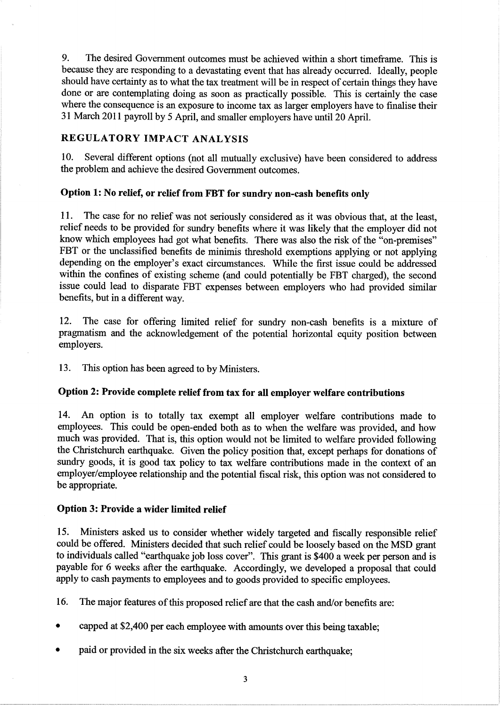9. The desired Government outcomes must be achieved within a short timeframe. This is because they are responding to a devastating event that has already occurred. Ideally, people should have certainty as to what the tax treatment will be in respect of certain things they have done or are contemplating doing as soon as practically possible. This is certainly the case where the consequence is an exposure to income tax as larger employers have to finalise their 31 March 2011 payroll by 5 April, and smaller employers have until 20 April.

# REGULATORY IMPACT ANALYSIS

10. Several different options (not all mutually exclusive) have been considered to address the problem and achieve the desired Government outcomes.

# Option 1: No relief, or relief from FBT for sundry non-cash benefits only

11. The case for no relief was not seriously considered as it was obvious that, at the least, relief needs to be provided for sundry benefits where it was likely that the employer did not know which employees had got what benefits. There was also the risk of the "on-premises" FBT or the unclassified benefits de minimis threshold exemptions applying or not applying depending on the employer's exact circumstances. While the first issue could be addressed within the confines of existing scheme (and could potentially be FBT charged), the second issue could lead to disparate FBT expenses between employers who had provided similar benefits, but in a different way.

12. The case for offering limited relief for sundry non-cash benefits is a mixture of pragmatism and the acknowledgement of the potential horizontal equity position between employers.

13. This option has been agreed to by Ministers.

# Option 2: Provide complete relief from tax for all employer welfare contributions

14. An option is to totally tax exempt all employer welfare contributions made to employees. This could be open-ended both as to when the welfare was provided, and how much was provided. That is, this option would not be limited to welfare provided following the Christchurch earthquake. Given the policy position that, except perhaps for donations of sundry goods, it is good tax policy to tax welfare contributions made in the context of an employer/employee relationship and the potential fiscal risk, this option was not considered to be appropriate.

## Option 3: Provide a wider limited relief

15. Ministers asked us to consider whether widely targeted and fiscally responsible relief could be offered. Ministers decided that such relief could be loosely based on the MSD grant to individuals called "earthquake job loss cover". This grant is \$400 a week per person and is payable for 6 weeks after the earthquake. Accordingly, we developed a proposal that could apply to cash payments to employees and to goods provided to specific employees.

16. The major features of this proposed relief are that the cash and/or benefits are:

- . capped at \$2,400 per each employee with amounts over this being taxable;
- paid or provided in the six weeks after the Christchurch earthquake;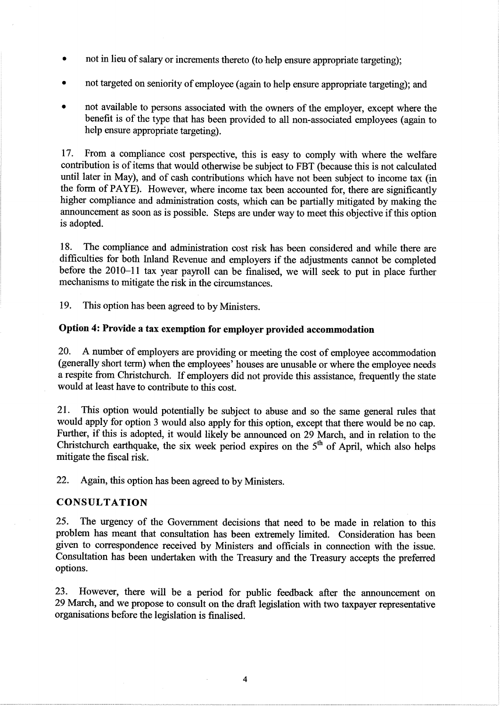- not in lieu of salary or increments thereto (to help ensure appropriate targeting);
- not targeted on seniority of employee (again to help ensure appropriate targeting); and
- not available to persons associated with the owners of the employer, except where the benefit is of the type that has been provided to all non-associated employees (again to help ensure appropriate targeting).

17. From a compliance cost perspective, this is easy to comply with where the welfare contribution is of items that would otherwise be subject to FBT (because this is not calculated until later in May), and of cash contributions which have not been subject to income tax (in the form of PAYE). However, where income tax been accounted for, there are significantly higher compliance and administration costs, which can be partially mitigated by making the announcement as soon as is possible. Steps are under way to meet this objective if this option is adopted.

18. The compliance and administration cost risk has been considered and while there are difficulties for both Inland Revenue and employers if the adjustments cannot be completed before the 2010-11 tax year payroll can be finalised, we will seek to put in place further mechanisms to mitigate the risk in the circumstances.

19. This option has been agreed to by Ministers.

# option 4: Provide a tax exemption for employer provided accommodation

20. A number of employers are providing or meeting the cost of employee accommodation (generally short term) when the employees' houses are unusable or where the employee needs a respite from Christchurch. If employers did not provide this assistance, frequently the state would at least have to contribute to this cost.

21. This option would potentially be subject to abuse and so the same general rules that would apply for option 3 would also apply for this option, except that there would be no cap. Further, if this is adopted, it would likely be announced on 29 March, and in relation to the Christchurch earthquake, the six week period expires on the  $5<sup>th</sup>$  of April, which also helps mitigate the fiscal risk.

22. Again, this option has been agreed to by Ministers.

#### CONSULTATION

25. The urgency of the Government decisions that need to be made in relation to this problem has meant that consultation has been externely limited. Consideration has been given to correspondence received by Ministers and officials in connection with the issue. Consultation has been undertaken with the Treasury and the Treasury accepts the preferred options.

23. However, there will be a period for public feedback after the announcement on 29 Match, and we propose to consult on the draft legislation with two taxpayer representative organisations before the legislation is finalised.